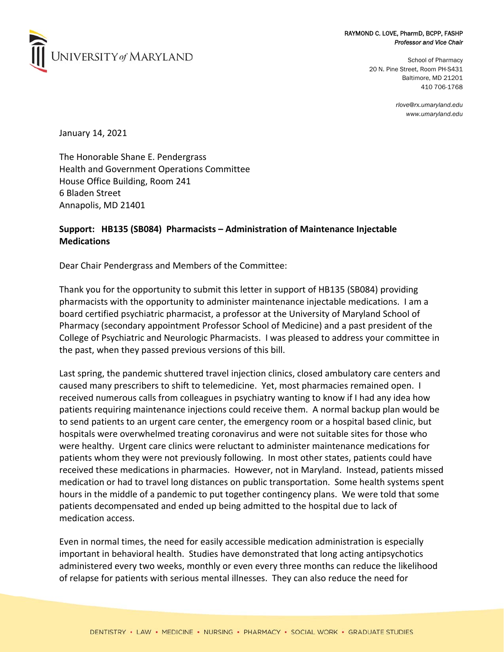

## RAYMOND C. LOVE, PharmD, BCPP, FASHP *Professor and Vice Chair*

School of Pharmacy 20 N. Pine Street, Room PH-S431 Baltimore, MD 21201 410 706-1768

> *rlove@rx.umaryland.edu www.umaryland.edu*

January 14, 2021

The Honorable Shane E. Pendergrass Health and Government Operations Committee House Office Building, Room 241 6 Bladen Street Annapolis, MD 21401

## **Support: HB135 (SB084) Pharmacists – Administration of Maintenance Injectable Medications**

Dear Chair Pendergrass and Members of the Committee:

Thank you for the opportunity to submit this letter in support of HB135 (SB084) providing pharmacists with the opportunity to administer maintenance injectable medications. I am a board certified psychiatric pharmacist, a professor at the University of Maryland School of Pharmacy (secondary appointment Professor School of Medicine) and a past president of the College of Psychiatric and Neurologic Pharmacists. I was pleased to address your committee in the past, when they passed previous versions of this bill.

Last spring, the pandemic shuttered travel injection clinics, closed ambulatory care centers and caused many prescribers to shift to telemedicine. Yet, most pharmacies remained open. I received numerous calls from colleagues in psychiatry wanting to know if I had any idea how patients requiring maintenance injections could receive them. A normal backup plan would be to send patients to an urgent care center, the emergency room or a hospital based clinic, but hospitals were overwhelmed treating coronavirus and were not suitable sites for those who were healthy. Urgent care clinics were reluctant to administer maintenance medications for patients whom they were not previously following. In most other states, patients could have received these medications in pharmacies. However, not in Maryland. Instead, patients missed medication or had to travel long distances on public transportation. Some health systems spent hours in the middle of a pandemic to put together contingency plans. We were told that some patients decompensated and ended up being admitted to the hospital due to lack of medication access.

Even in normal times, the need for easily accessible medication administration is especially important in behavioral health. Studies have demonstrated that long acting antipsychotics administered every two weeks, monthly or even every three months can reduce the likelihood of relapse for patients with serious mental illnesses. They can also reduce the need for